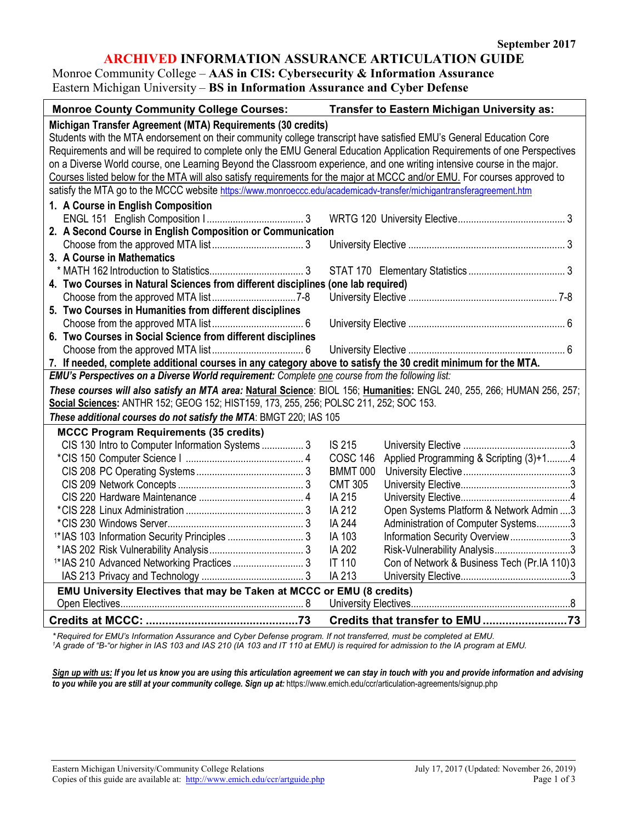### **ARCHIVED INFORMATION ASSURANCE ARTICULATION GUIDE**

Monroe Community College – **AAS in CIS: Cybersecurity & Information Assurance** Eastern Michigan University – **BS in Information Assurance and Cyber Defense**

| <b>Monroe County Community College Courses:</b>                                                                           | Transfer to Eastern Michigan University as:                  |  |
|---------------------------------------------------------------------------------------------------------------------------|--------------------------------------------------------------|--|
| Michigan Transfer Agreement (MTA) Requirements (30 credits)                                                               |                                                              |  |
| Students with the MTA endorsement on their community college transcript have satisfied EMU's General Education Core       |                                                              |  |
| Requirements and will be required to complete only the EMU General Education Application Requirements of one Perspectives |                                                              |  |
| on a Diverse World course, one Learning Beyond the Classroom experience, and one writing intensive course in the major.   |                                                              |  |
| Courses listed below for the MTA will also satisfy requirements for the major at MCCC and/or EMU. For courses approved to |                                                              |  |
| satisfy the MTA go to the MCCC website https://www.monroeccc.edu/academicadv-transfer/michigantransferagreement.htm       |                                                              |  |
| 1. A Course in English Composition                                                                                        |                                                              |  |
|                                                                                                                           |                                                              |  |
| 2. A Second Course in English Composition or Communication                                                                |                                                              |  |
|                                                                                                                           |                                                              |  |
| 3. A Course in Mathematics                                                                                                |                                                              |  |
|                                                                                                                           |                                                              |  |
| 4. Two Courses in Natural Sciences from different disciplines (one lab required)                                          |                                                              |  |
|                                                                                                                           |                                                              |  |
| 5. Two Courses in Humanities from different disciplines                                                                   |                                                              |  |
|                                                                                                                           |                                                              |  |
| 6. Two Courses in Social Science from different disciplines                                                               |                                                              |  |
|                                                                                                                           |                                                              |  |
| 7. If needed, complete additional courses in any category above to satisfy the 30 credit minimum for the MTA.             |                                                              |  |
| EMU's Perspectives on a Diverse World requirement: Complete one course from the following list:                           |                                                              |  |
| These courses will also satisfy an MTA area: Natural Science: BIOL 156; Humanities: ENGL 240, 255, 266; HUMAN 256, 257;   |                                                              |  |
| Social Sciences: ANTHR 152; GEOG 152; HIST159, 173, 255, 256; POLSC 211, 252; SOC 153.                                    |                                                              |  |
| These additional courses do not satisfy the MTA: BMGT 220; IAS 105                                                        |                                                              |  |
| <b>MCCC Program Requirements (35 credits)</b>                                                                             |                                                              |  |
| CIS 130 Intro to Computer Information Systems 3                                                                           | <b>IS 215</b>                                                |  |
|                                                                                                                           | <b>COSC 146</b><br>Applied Programming & Scripting (3)+14    |  |
|                                                                                                                           | <b>BMMT 000</b>                                              |  |
|                                                                                                                           | <b>CMT 305</b>                                               |  |
|                                                                                                                           | IA 215                                                       |  |
|                                                                                                                           | IA 212<br>Open Systems Platform & Network Admin 3            |  |
|                                                                                                                           | IA 244<br>Administration of Computer Systems3                |  |
| <sup>1*</sup> IAS 103 Information Security Principles  3                                                                  | IA 103<br>Information Security Overview3                     |  |
|                                                                                                                           | IA 202<br>Risk-Vulnerability Analysis3                       |  |
| <sup>1*</sup> IAS 210 Advanced Networking Practices  3                                                                    | <b>IT 110</b><br>Con of Network & Business Tech (Pr.IA 110)3 |  |
|                                                                                                                           | IA 213                                                       |  |
| EMU University Electives that may be Taken at MCCC or EMU (8 credits)                                                     |                                                              |  |
|                                                                                                                           |                                                              |  |
|                                                                                                                           | Credits that transfer to EMU73                               |  |

*\* Required for EMU's Information Assurance and Cyber Defense program. If not transferred, must be completed at EMU. 1 A grade of "B-"or higher in IAS 103 and IAS 210 (IA 103 and IT 110 at EMU) is required for admission to the IA program at EMU.*

*Sign up with us: If you let us know you are using this articulation agreement we can stay in touch with you and provide information and advising to you while you are still at your community college. Sign up at:* https://www.emich.edu/ccr/articulation-agreements/signup.php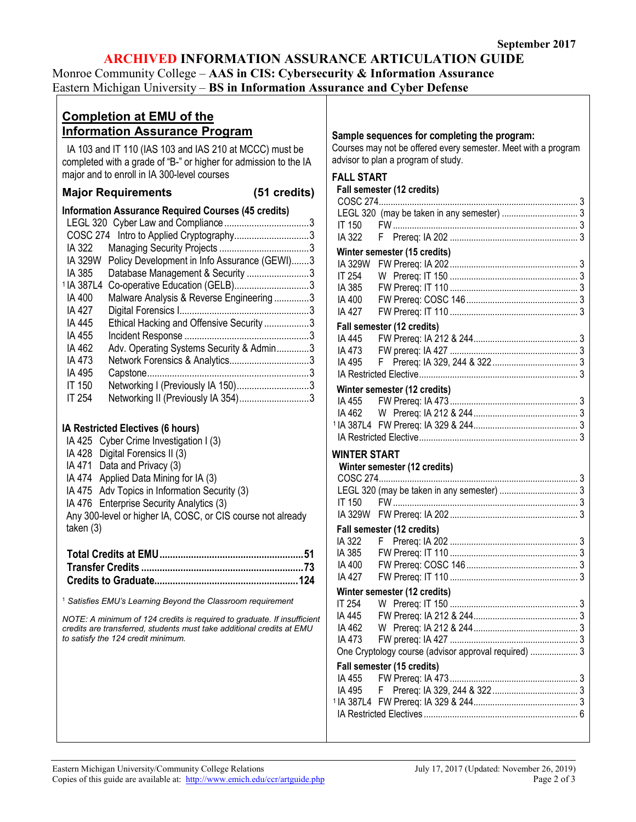## **ARCHIVED INFORMATION ASSURANCE ARTICULATION GUIDE**

Monroe Community College – **AAS in CIS: Cybersecurity & Information Assurance**

Eastern Michigan University – **BS in Information Assurance and Cyber Defense**

| <b>Completion at EMU of the</b><br><b>Information Assurance Program</b>                                                     | Sample sequences for completing the program:                                                          |
|-----------------------------------------------------------------------------------------------------------------------------|-------------------------------------------------------------------------------------------------------|
| IA 103 and IT 110 (IAS 103 and IAS 210 at MCCC) must be<br>completed with a grade of "B-" or higher for admission to the IA | Courses may not be offered every semester. Meet with a program<br>advisor to plan a program of study. |
| major and to enroll in IA 300-level courses                                                                                 | <b>FALL START</b>                                                                                     |
| <b>Major Requirements</b><br>(51 credits)                                                                                   | Fall semester (12 credits)                                                                            |
| <b>Information Assurance Required Courses (45 credits)</b>                                                                  |                                                                                                       |
|                                                                                                                             | LEGL 320 (may be taken in any semester)  3                                                            |
| COSC 274 Intro to Applied Cryptography3                                                                                     | IT 150<br>IA 322                                                                                      |
| IA 322                                                                                                                      |                                                                                                       |
| Policy Development in Info Assurance (GEWI)3<br><b>IA 329W</b>                                                              | Winter semester (15 credits)                                                                          |
| IA 385<br>Database Management & Security 3                                                                                  | IT 254                                                                                                |
| <sup>1</sup> IA 387L4 Co-operative Education (GELB)3                                                                        | IA 385                                                                                                |
| Malware Analysis & Reverse Engineering 3<br>IA 400                                                                          | IA 400                                                                                                |
| IA 427                                                                                                                      | IA 427                                                                                                |
| Ethical Hacking and Offensive Security 3<br>IA 445                                                                          |                                                                                                       |
| IA 455                                                                                                                      | Fall semester (12 credits)<br>IA 445                                                                  |
| Adv. Operating Systems Security & Admin3<br>IA 462                                                                          | IA 473                                                                                                |
| IA 473                                                                                                                      | IA 495                                                                                                |
| IA 495                                                                                                                      |                                                                                                       |
| Networking I (Previously IA 150)3<br><b>IT 150</b>                                                                          |                                                                                                       |
| <b>IT 254</b><br>Networking II (Previously IA 354)3                                                                         | Winter semester (12 credits)                                                                          |
|                                                                                                                             | IA 455                                                                                                |
|                                                                                                                             | IA 462                                                                                                |
| IA Restricted Electives (6 hours)                                                                                           |                                                                                                       |
| IA 425 Cyber Crime Investigation I (3)                                                                                      |                                                                                                       |
| IA 428 Digital Forensics II (3)                                                                                             | <b>WINTER START</b>                                                                                   |
| IA 471 Data and Privacy (3)                                                                                                 | Winter semester (12 credits)                                                                          |
| IA 474 Applied Data Mining for IA (3)                                                                                       |                                                                                                       |
| IA 475 Adv Topics in Information Security (3)                                                                               | LEGL 320 (may be taken in any semester)  3                                                            |
| IA 476 Enterprise Security Analytics (3)                                                                                    | IT 150                                                                                                |
| Any 300-level or higher IA, COSC, or CIS course not already                                                                 |                                                                                                       |
| taken $(3)$                                                                                                                 | Fall semester (12 credits)                                                                            |
|                                                                                                                             | IA 322                                                                                                |
|                                                                                                                             | IA 385                                                                                                |
|                                                                                                                             | IA 400                                                                                                |
|                                                                                                                             |                                                                                                       |
|                                                                                                                             | Winter semester (12 credits)                                                                          |
| <sup>1</sup> Satisfies EMU's Learning Beyond the Classroom requirement                                                      | IT 254                                                                                                |
| NOTE: A minimum of 124 credits is required to graduate. If insufficient                                                     | IA 445                                                                                                |
| credits are transferred, students must take additional credits at EMU<br>to satisfy the 124 credit minimum.                 | IA 462                                                                                                |
|                                                                                                                             | IA 473                                                                                                |
|                                                                                                                             | One Cryptology course (advisor approval required)  3                                                  |
|                                                                                                                             | Fall semester (15 credits)                                                                            |
|                                                                                                                             | IA 455                                                                                                |
|                                                                                                                             | IA 495                                                                                                |
|                                                                                                                             |                                                                                                       |
|                                                                                                                             |                                                                                                       |
|                                                                                                                             |                                                                                                       |